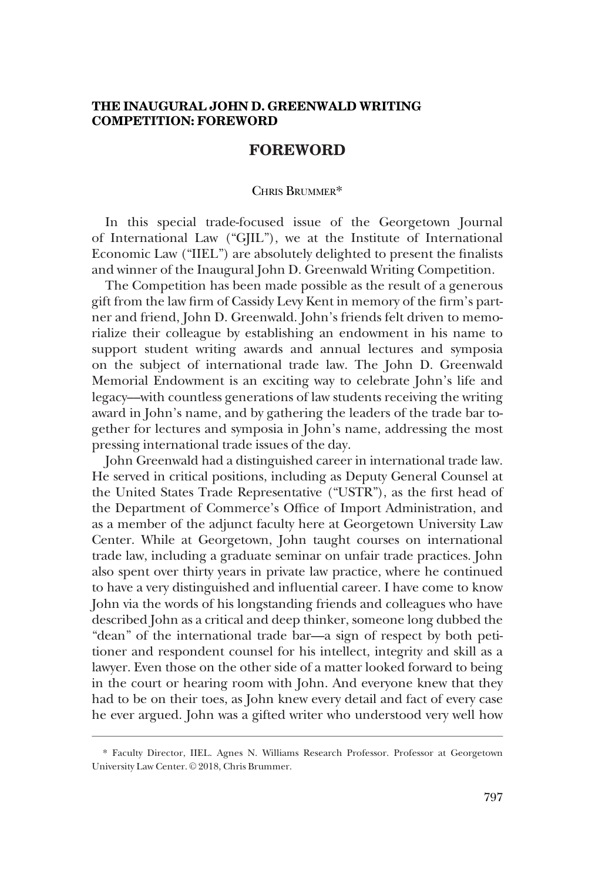## **THE INAUGURAL JOHN D. GREENWALD WRITING COMPETITION: FOREWORD**

## **FOREWORD**

## CHRIS BRUMMER\*

In this special trade-focused issue of the Georgetown Journal of International Law ("GJIL"), we at the Institute of International Economic Law ("IIEL") are absolutely delighted to present the finalists and winner of the Inaugural John D. Greenwald Writing Competition.

The Competition has been made possible as the result of a generous gift from the law firm of Cassidy Levy Kent in memory of the firm's partner and friend, John D. Greenwald. John's friends felt driven to memorialize their colleague by establishing an endowment in his name to support student writing awards and annual lectures and symposia on the subject of international trade law. The John D. Greenwald Memorial Endowment is an exciting way to celebrate John's life and legacy––with countless generations of law students receiving the writing award in John's name, and by gathering the leaders of the trade bar together for lectures and symposia in John's name, addressing the most pressing international trade issues of the day.

John Greenwald had a distinguished career in international trade law. He served in critical positions, including as Deputy General Counsel at the United States Trade Representative ("USTR"), as the first head of the Department of Commerce's Office of Import Administration, and as a member of the adjunct faculty here at Georgetown University Law Center. While at Georgetown, John taught courses on international trade law, including a graduate seminar on unfair trade practices. John also spent over thirty years in private law practice, where he continued to have a very distinguished and influential career. I have come to know John via the words of his longstanding friends and colleagues who have described John as a critical and deep thinker, someone long dubbed the "dean" of the international trade bar—a sign of respect by both petitioner and respondent counsel for his intellect, integrity and skill as a lawyer. Even those on the other side of a matter looked forward to being in the court or hearing room with John. And everyone knew that they had to be on their toes, as John knew every detail and fact of every case he ever argued. John was a gifted writer who understood very well how

<sup>\*</sup> Faculty Director, IIEL. Agnes N. Williams Research Professor. Professor at Georgetown University Law Center. © 2018, Chris Brummer.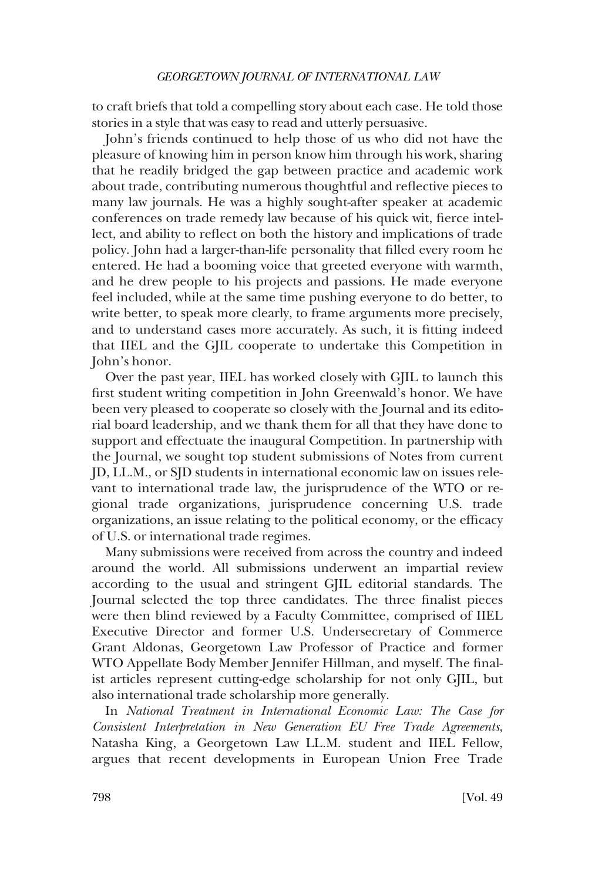## *GEORGETOWN JOURNAL OF INTERNATIONAL LAW*

to craft briefs that told a compelling story about each case. He told those stories in a style that was easy to read and utterly persuasive.

John's friends continued to help those of us who did not have the pleasure of knowing him in person know him through his work, sharing that he readily bridged the gap between practice and academic work about trade, contributing numerous thoughtful and reflective pieces to many law journals. He was a highly sought-after speaker at academic conferences on trade remedy law because of his quick wit, fierce intellect, and ability to reflect on both the history and implications of trade policy. John had a larger-than-life personality that filled every room he entered. He had a booming voice that greeted everyone with warmth, and he drew people to his projects and passions. He made everyone feel included, while at the same time pushing everyone to do better, to write better, to speak more clearly, to frame arguments more precisely, and to understand cases more accurately. As such, it is fitting indeed that IIEL and the GJIL cooperate to undertake this Competition in John's honor.

Over the past year, IIEL has worked closely with GJIL to launch this first student writing competition in John Greenwald's honor. We have been very pleased to cooperate so closely with the Journal and its editorial board leadership, and we thank them for all that they have done to support and effectuate the inaugural Competition. In partnership with the Journal, we sought top student submissions of Notes from current JD, LL.M., or SJD students in international economic law on issues relevant to international trade law, the jurisprudence of the WTO or regional trade organizations, jurisprudence concerning U.S. trade organizations, an issue relating to the political economy, or the efficacy of U.S. or international trade regimes.

Many submissions were received from across the country and indeed around the world. All submissions underwent an impartial review according to the usual and stringent GJIL editorial standards. The Journal selected the top three candidates. The three finalist pieces were then blind reviewed by a Faculty Committee, comprised of IIEL Executive Director and former U.S. Undersecretary of Commerce Grant Aldonas, Georgetown Law Professor of Practice and former WTO Appellate Body Member Jennifer Hillman, and myself. The finalist articles represent cutting-edge scholarship for not only GJIL, but also international trade scholarship more generally.

In *National Treatment in International Economic Law: The Case for Consistent Interpretation in New Generation EU Free Trade Agreements*, Natasha King, a Georgetown Law LL.M. student and IIEL Fellow, argues that recent developments in European Union Free Trade